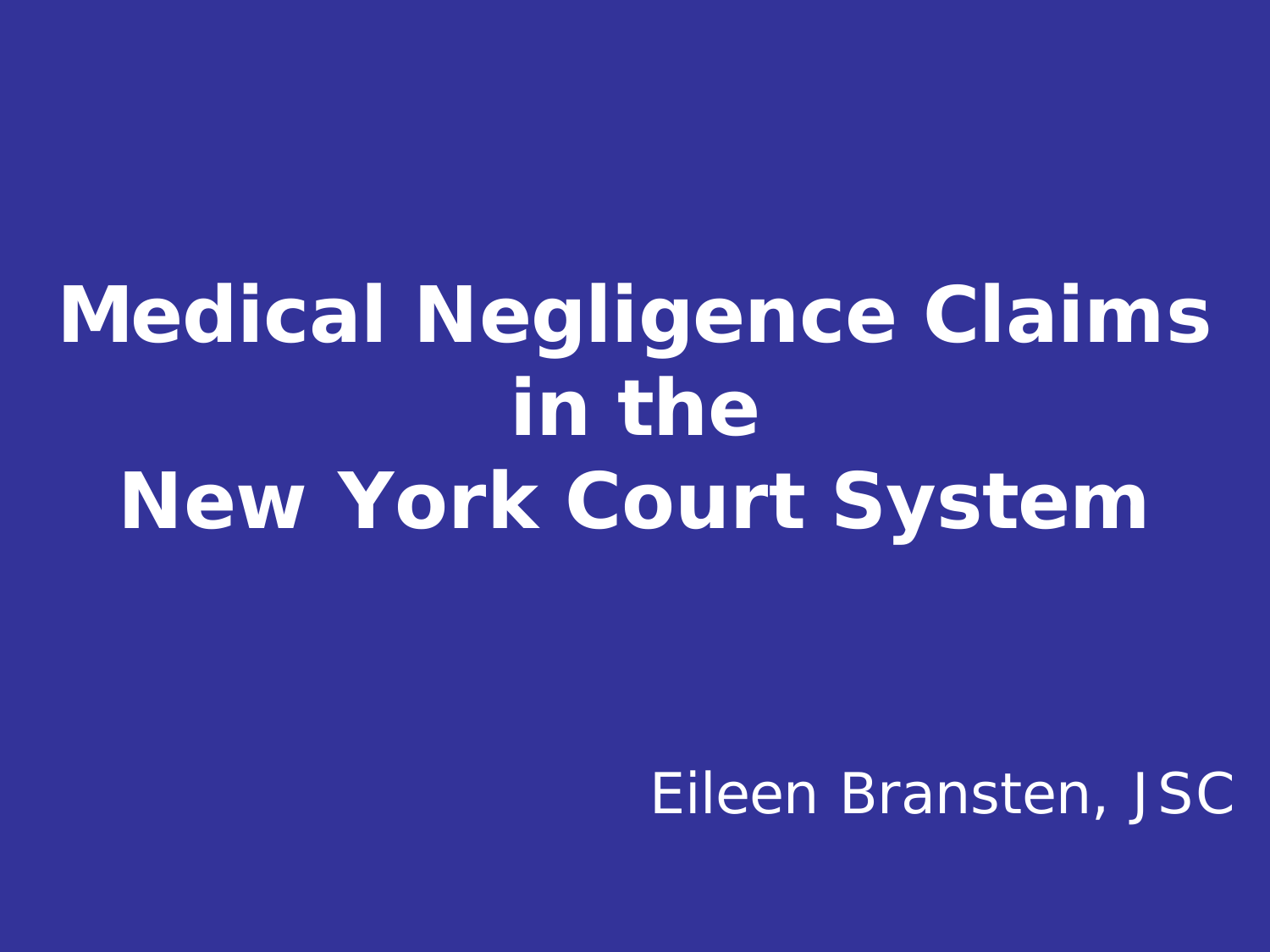#### **Medical Negligence Claims in the New York Court System**

#### Eileen Bransten, JSC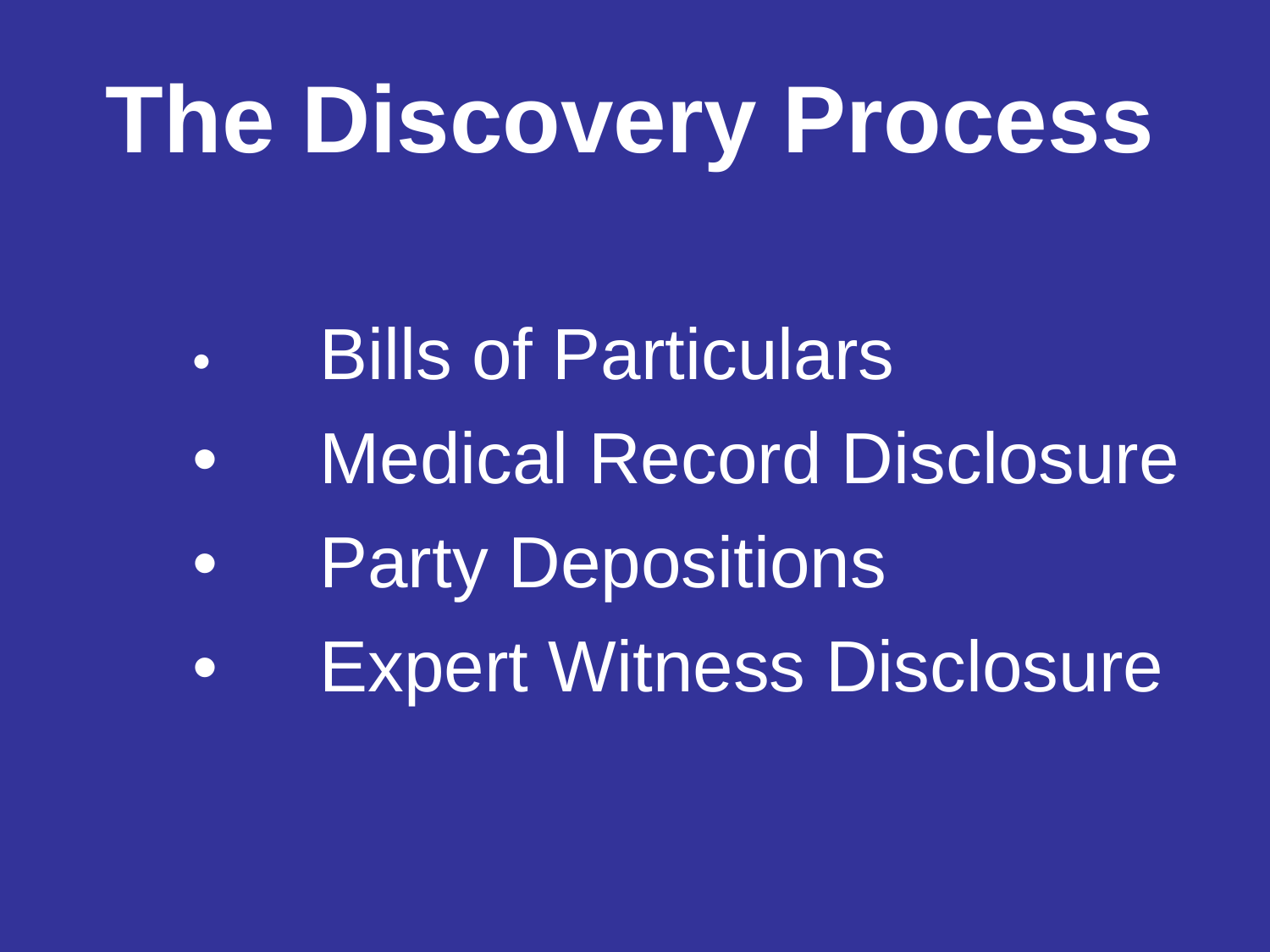## **The Discovery Process**

- Bills of Particulars
- Medical Record Disclosure
- **Party Depositions**
- Expert Witness Disclosure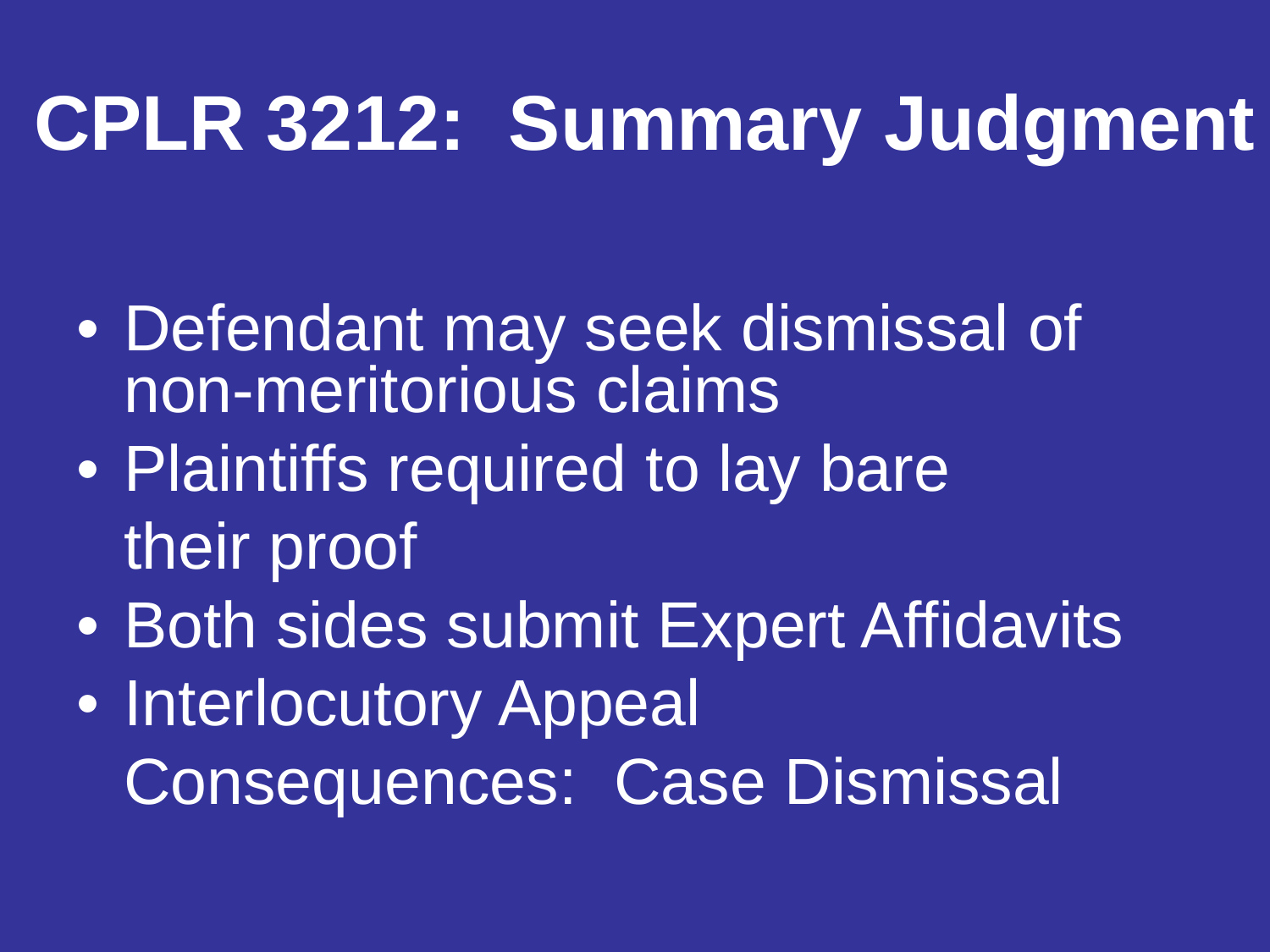#### **CPLR 3212: Summary Judgment**

- Defendant may seek dismissal of non-meritorious claims
- Plaintiffs required to lay bare their proof
- Both sides submit Expert Affidavits
- Interlocutory Appeal Consequences: Case Dismissal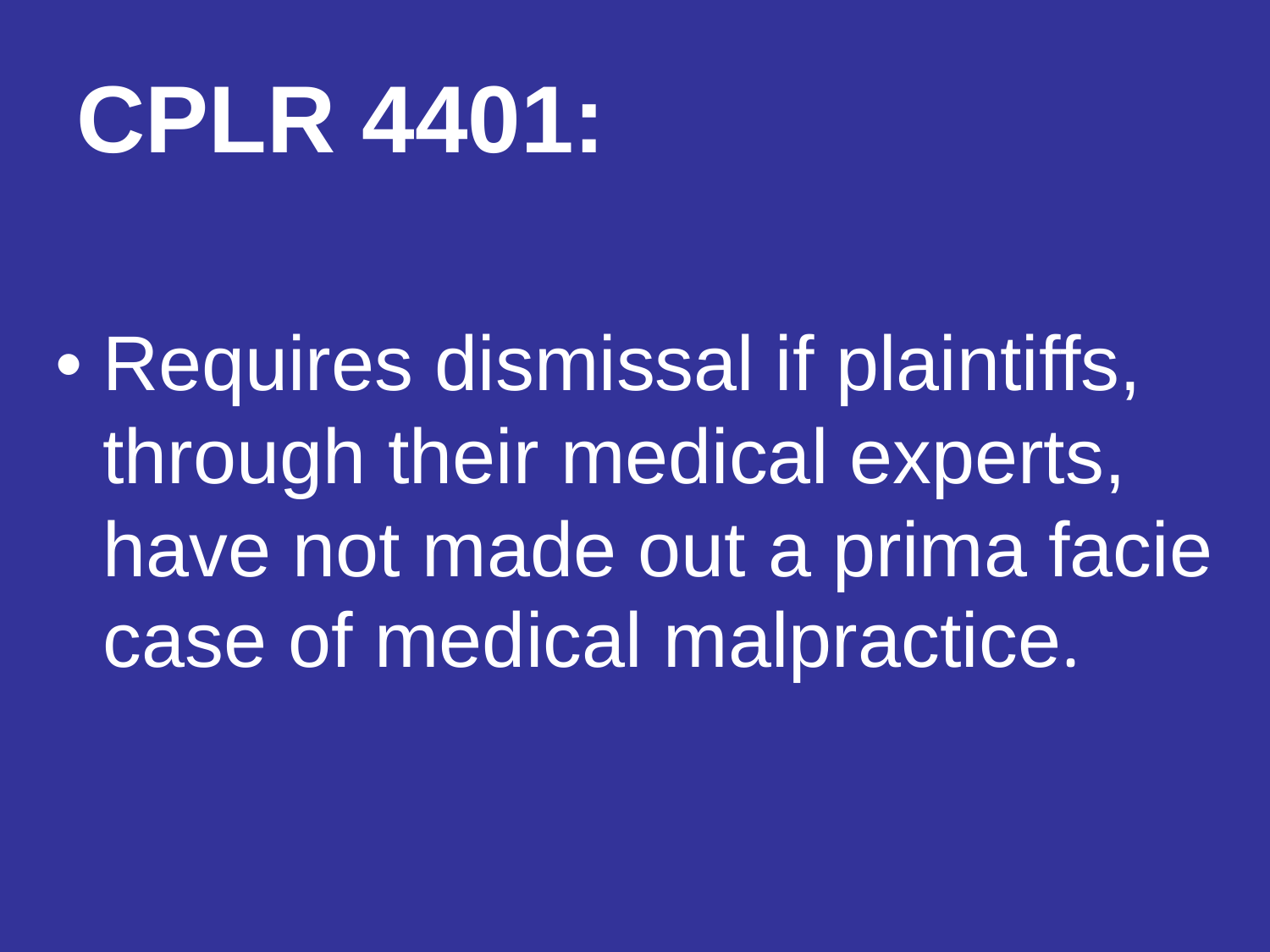## **CPLR 4401:**

• Requires dismissal if plaintiffs, through their medical experts, have not made out a prima facie case of medical malpractice.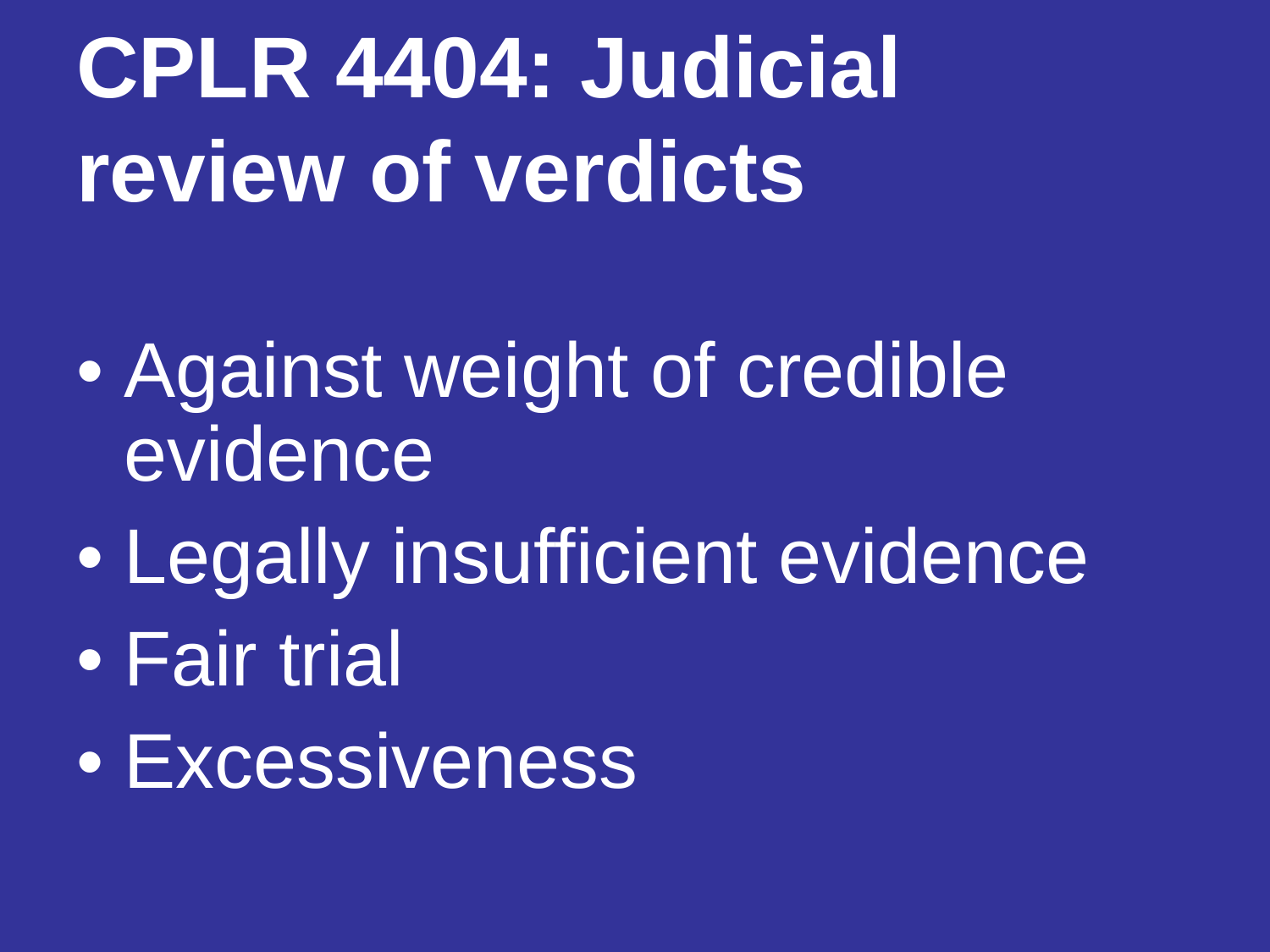## **CPLR 4404: Judicial review of verdicts**

- Against weight of credible evidence
- Legally insufficient evidence
- Fair trial
- Excessiveness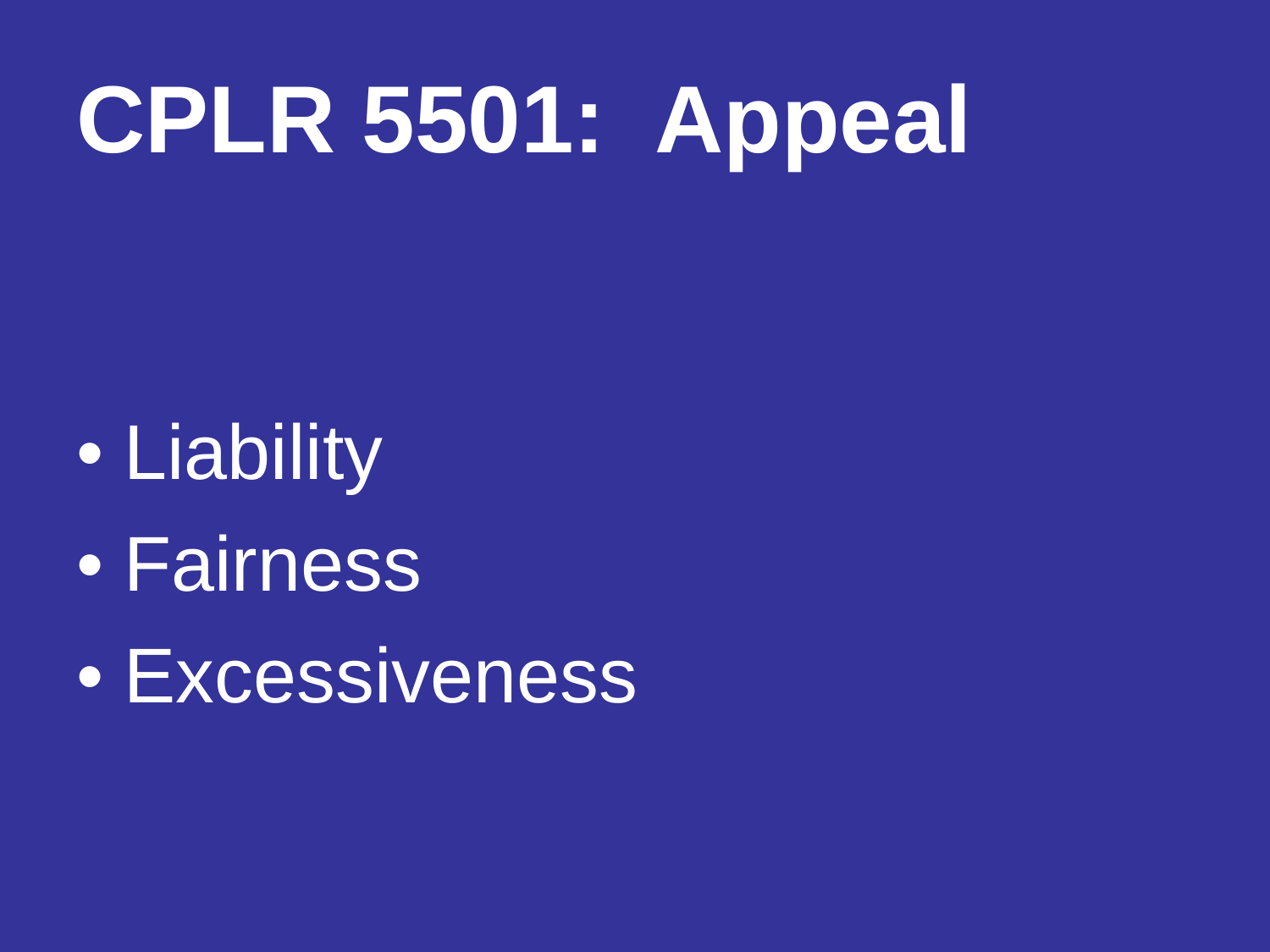## **CPLR 5501: Appeal**

• Liability • Fairness **• Excessiveness**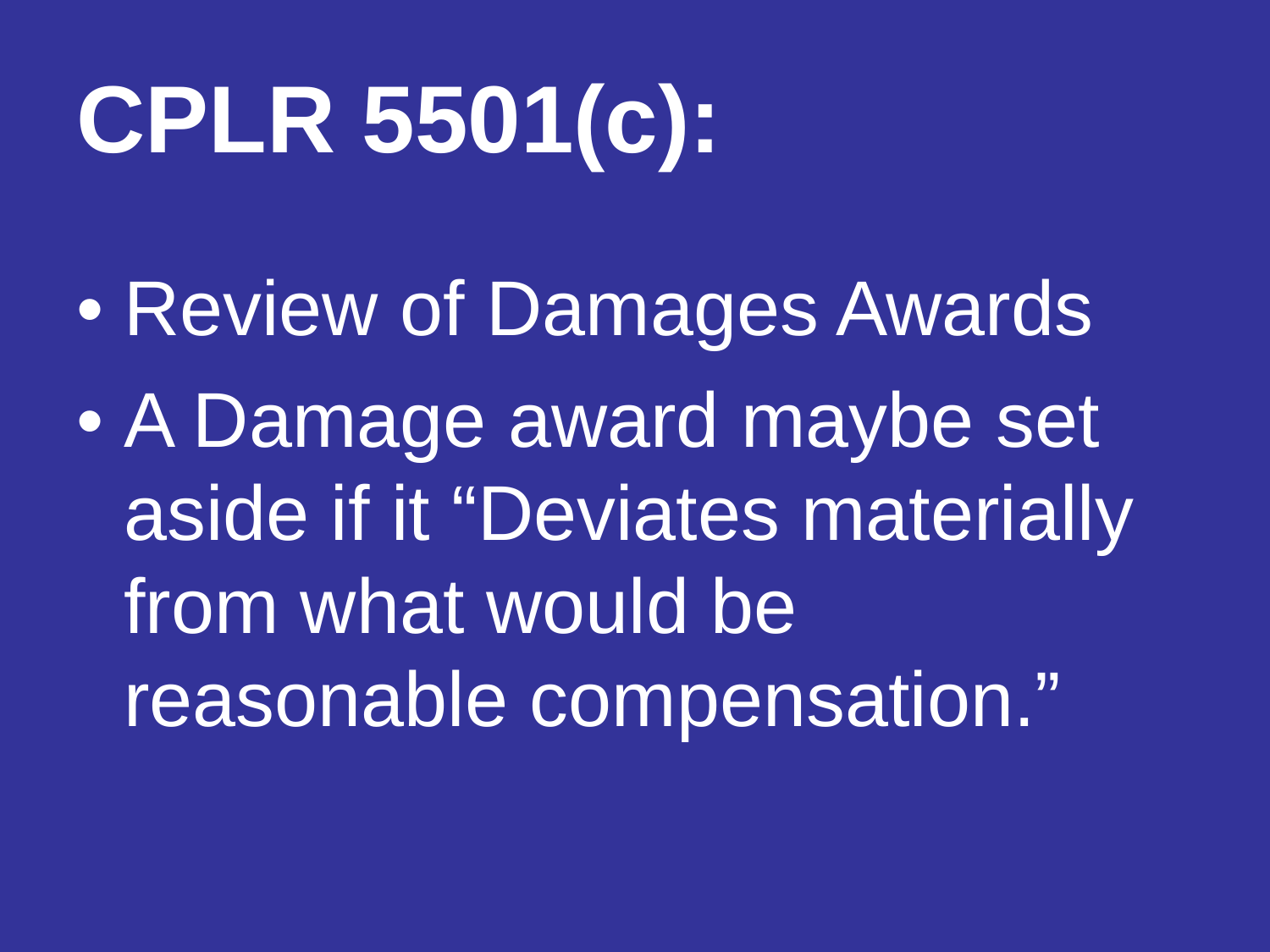# **CPLR 5501(c):**

- Review of Damages Awards
- A Damage award maybe set aside if it "Deviates materially from what would be reasonable compensation."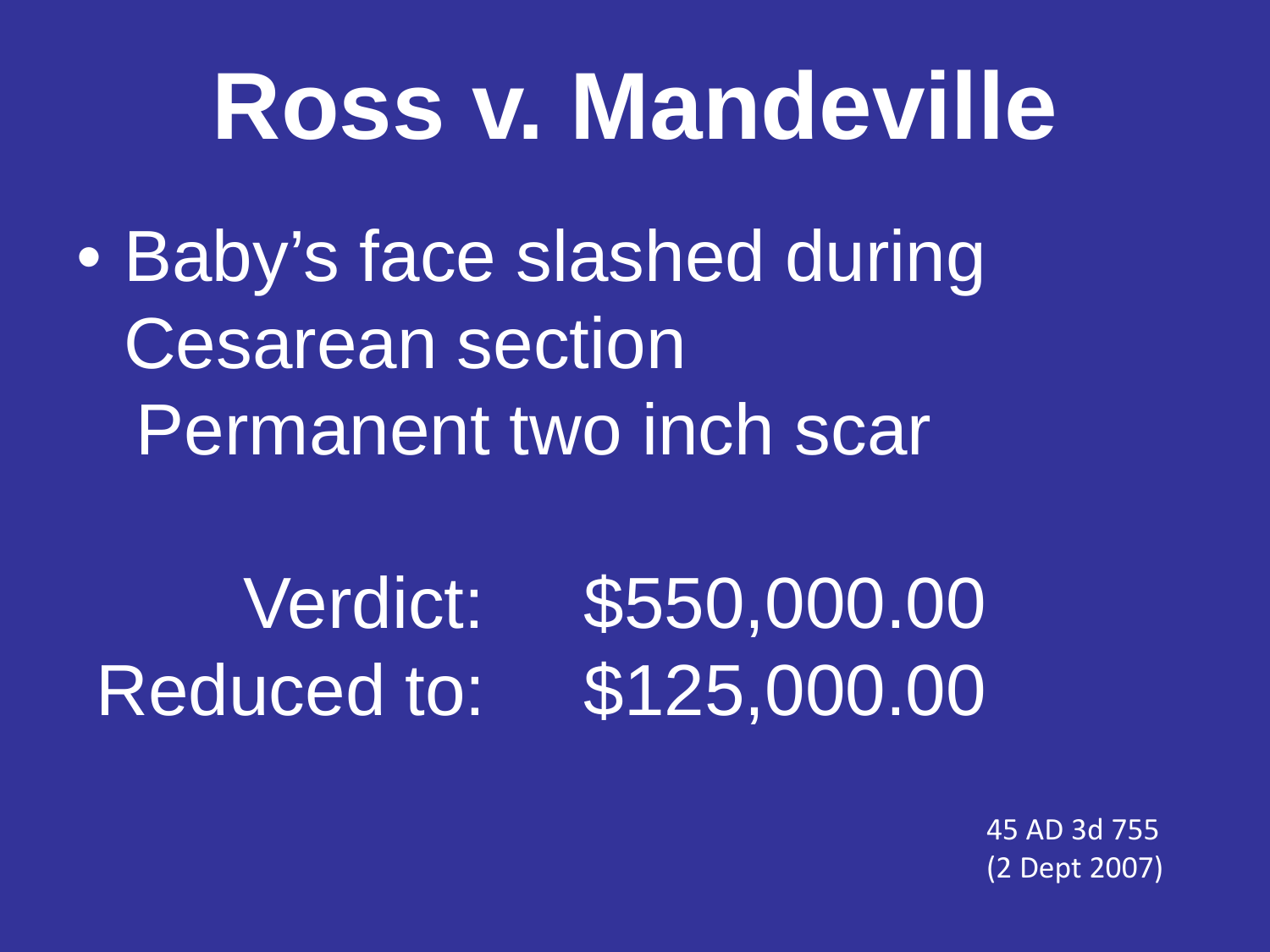## **Ross v. Mandeville**

• Baby's face slashed during Cesarean section Permanent two inch scar

 Verdict: \$550,000.00 Reduced to: \$125,000.00

45 AD 3d 755 (2 Dept 2007)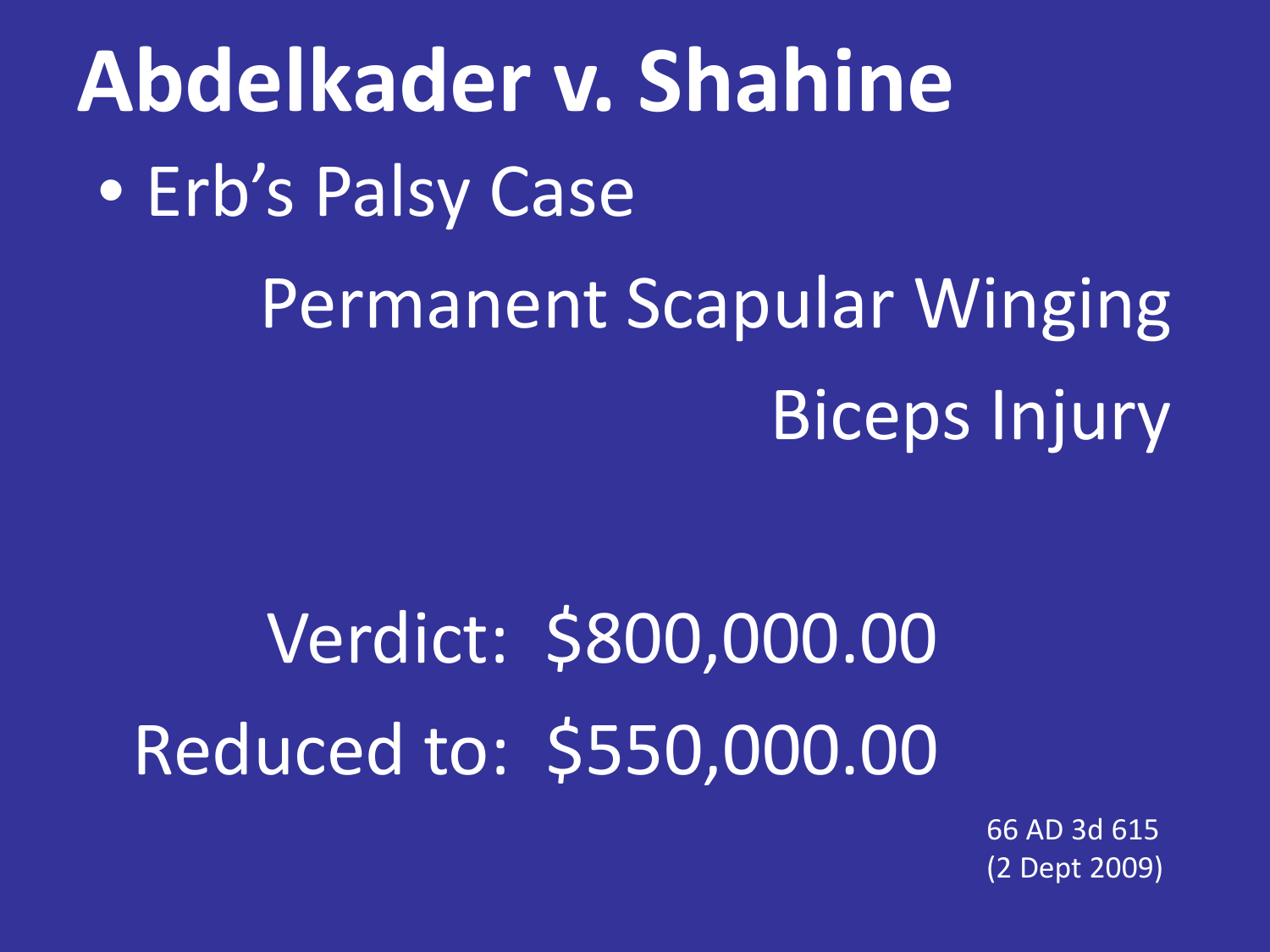66 AD 3d 615 (2 Dept 2009)

### Verdict: \$800,000.00 Reduced to: \$550,000.00

• Erb's Palsy Case

**Abdelkader v. Shahine**

Permanent Scapular Winging Biceps Injury